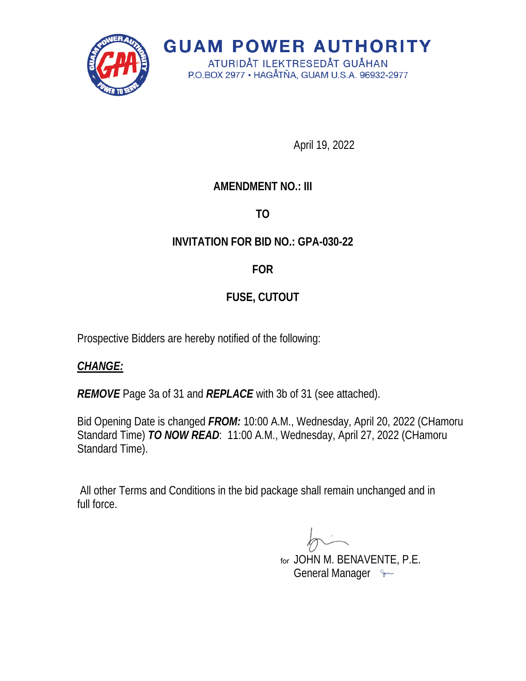

**GUAM POWER AUTHORITY** ATURIDÅT ILEKTRESEDÅT GUÅHAN

P.O.BOX 2977 · HAGÅTÑA, GUAM U.S.A. 96932-2977

April 19, 2022

## **AMENDMENT NO.: III**

**TO** 

## **INVITATION FOR BID NO.: GPA-030-22**

**FOR** 

# **FUSE, CUTOUT**

Prospective Bidders are hereby notified of the following:

## *CHANGE:*

*REMOVE* Page 3a of 31 and *REPLACE* with 3b of 31 (see attached).

Bid Opening Date is changed *FROM:* 10:00 A.M., Wednesday, April 20, 2022 (CHamoru Standard Time) *TO NOW READ*: 11:00 A.M., Wednesday, April 27, 2022 (CHamoru Standard Time).

All other Terms and Conditions in the bid package shall remain unchanged and in full force.

 JOHN M. BENAVENTE, P.E. forGeneral Manager  $\sim$